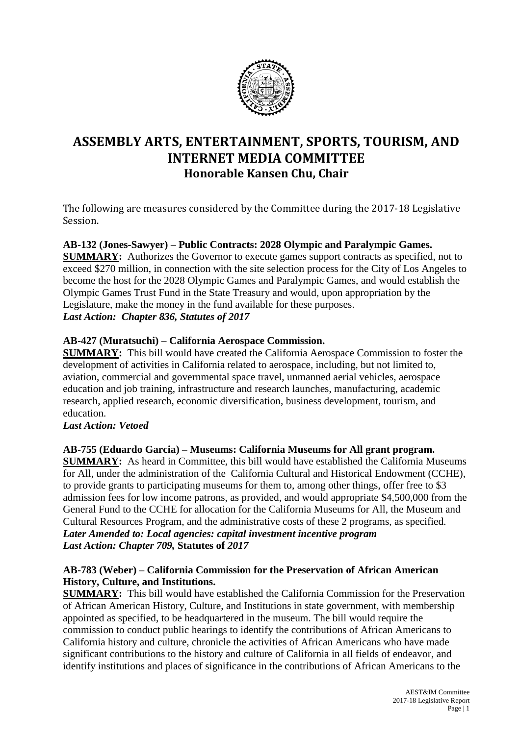

# **ASSEMBLY ARTS, ENTERTAINMENT, SPORTS, TOURISM, AND INTERNET MEDIA COMMITTEE Honorable Kansen Chu, Chair**

The following are measures considered by the Committee during the 2017-18 Legislative Session.

# **AB-132 (Jones-Sawyer) – Public Contracts: 2028 Olympic and Paralympic Games.**

**SUMMARY:** Authorizes the Governor to execute games support contracts as specified, not to exceed \$270 million, in connection with the site selection process for the City of Los Angeles to become the host for the 2028 Olympic Games and Paralympic Games, and would establish the Olympic Games Trust Fund in the State Treasury and would, upon appropriation by the Legislature, make the money in the fund available for these purposes. *Last Action: Chapter 836, Statutes of 2017*

# **AB-427 (Muratsuchi) – California Aerospace Commission.**

**SUMMARY:** This bill would have created the California Aerospace Commission to foster the development of activities in California related to aerospace, including, but not limited to, aviation, commercial and governmental space travel, unmanned aerial vehicles, aerospace education and job training, infrastructure and research launches, manufacturing, academic research, applied research, economic diversification, business development, tourism, and education.

# *Last Action: Vetoed*

**AB-755 (Eduardo Garcia) – Museums: California Museums for All grant program. SUMMARY:** As heard in Committee, this bill would have established the California Museums for All, under the administration of the California Cultural and Historical Endowment (CCHE), to provide grants to participating museums for them to, among other things, offer free to \$3 admission fees for low income patrons, as provided, and would appropriate \$4,500,000 from the General Fund to the CCHE for allocation for the California Museums for All, the Museum and Cultural Resources Program, and the administrative costs of these 2 programs, as specified. *Later Amended to: Local agencies: capital investment incentive program Last Action: Chapter 709,* **Statutes of** *2017*

# **AB-783 (Weber) – California Commission for the Preservation of African American History, Culture, and Institutions.**

**SUMMARY:** This bill would have established the California Commission for the Preservation of African American History, Culture, and Institutions in state government, with membership appointed as specified, to be headquartered in the museum. The bill would require the commission to conduct public hearings to identify the contributions of African Americans to California history and culture, chronicle the activities of African Americans who have made significant contributions to the history and culture of California in all fields of endeavor, and identify institutions and places of significance in the contributions of African Americans to the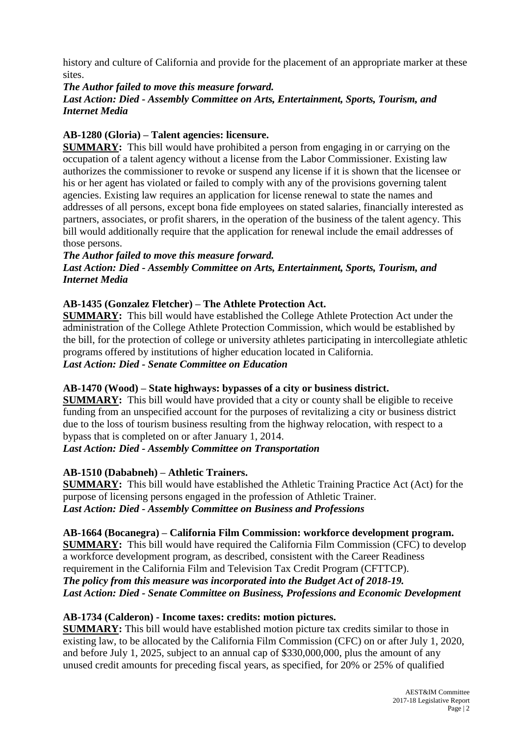history and culture of California and provide for the placement of an appropriate marker at these sites.

#### *The Author failed to move this measure forward.*

# *Last Action: Died - Assembly Committee on Arts, Entertainment, Sports, Tourism, and Internet Media*

# **AB-1280 (Gloria) – Talent agencies: licensure.**

**SUMMARY:** This bill would have prohibited a person from engaging in or carrying on the occupation of a talent agency without a license from the Labor Commissioner. Existing law authorizes the commissioner to revoke or suspend any license if it is shown that the licensee or his or her agent has violated or failed to comply with any of the provisions governing talent agencies. Existing law requires an application for license renewal to state the names and addresses of all persons, except bona fide employees on stated salaries, financially interested as partners, associates, or profit sharers, in the operation of the business of the talent agency. This bill would additionally require that the application for renewal include the email addresses of those persons.

#### *The Author failed to move this measure forward.*

*Last Action: Died* **-** *Assembly Committee on Arts, Entertainment, Sports, Tourism, and Internet Media*

# **AB-1435 (Gonzalez Fletcher) – The Athlete Protection Act.**

**SUMMARY:** This bill would have established the College Athlete Protection Act under the administration of the College Athlete Protection Commission, which would be established by the bill, for the protection of college or university athletes participating in intercollegiate athletic programs offered by institutions of higher education located in California.

*Last Action: Died - Senate Committee on Education*

# **AB-1470 (Wood) – State highways: bypasses of a city or business district.**

**SUMMARY:** This bill would have provided that a city or county shall be eligible to receive funding from an unspecified account for the purposes of revitalizing a city or business district due to the loss of tourism business resulting from the highway relocation, with respect to a bypass that is completed on or after January 1, 2014.

# *Last Action: Died - Assembly Committee on Transportation*

# **AB-1510 (Dababneh) – Athletic Trainers.**

**SUMMARY:** This bill would have established the Athletic Training Practice Act (Act) for the purpose of licensing persons engaged in the profession of Athletic Trainer. *Last Action: Died - Assembly Committee on Business and Professions*

# **AB-1664 (Bocanegra) – California Film Commission: workforce development program.**

**SUMMARY:** This bill would have required the California Film Commission (CFC) to develop a workforce development program, as described, consistent with the Career Readiness requirement in the California Film and Television Tax Credit Program (CFTTCP). *The policy from this measure was incorporated into the Budget Act of 2018-19. Last Action: Died - Senate Committee on Business, Professions and Economic Development*

# **AB-1734 (Calderon) - Income taxes: credits: motion pictures.**

**SUMMARY:** This bill would have established motion picture tax credits similar to those in existing law, to be allocated by the California Film Commission (CFC) on or after July 1, 2020, and before July 1, 2025, subject to an annual cap of \$330,000,000, plus the amount of any unused credit amounts for preceding fiscal years, as specified, for 20% or 25% of qualified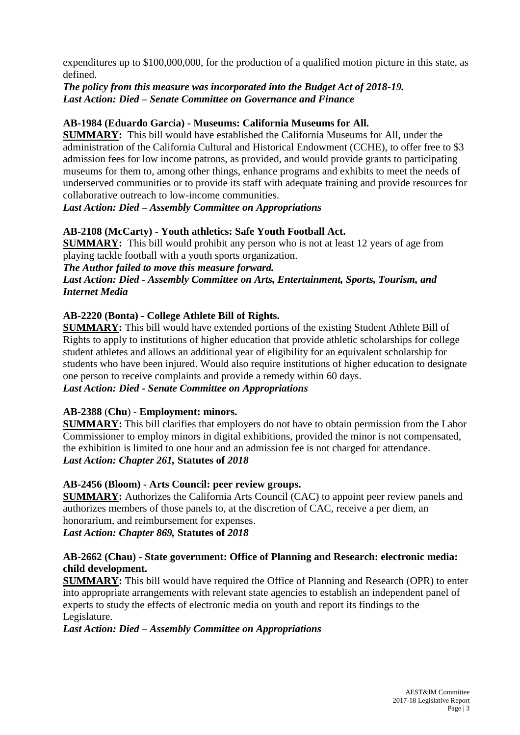expenditures up to \$100,000,000, for the production of a qualified motion picture in this state, as defined.

## *The policy from this measure was incorporated into the Budget Act of 2018-19. Last Action: Died – Senate Committee on Governance and Finance*

# **AB-1984 (Eduardo Garcia) - Museums: California Museums for All.**

**SUMMARY:** This bill would have established the California Museums for All, under the administration of the California Cultural and Historical Endowment (CCHE), to offer free to \$3 admission fees for low income patrons, as provided, and would provide grants to participating museums for them to, among other things, enhance programs and exhibits to meet the needs of underserved communities or to provide its staff with adequate training and provide resources for collaborative outreach to low-income communities.

*Last Action: Died – Assembly Committee on Appropriations*

# **AB-2108 (McCarty) - Youth athletics: Safe Youth Football Act.**

**SUMMARY:** This bill would prohibit any person who is not at least 12 years of age from playing tackle football with a youth sports organization.

#### *The Author failed to move this measure forward.*

*Last Action: Died - Assembly Committee on Arts, Entertainment, Sports, Tourism, and Internet Media*

# **AB-2220 (Bonta) - College Athlete Bill of Rights.**

**SUMMARY:** This bill would have extended portions of the existing Student Athlete Bill of Rights to apply to institutions of higher education that provide athletic scholarships for college student athletes and allows an additional year of eligibility for an equivalent scholarship for students who have been injured. Would also require institutions of higher education to designate one person to receive complaints and provide a remedy within 60 days.

*Last Action: Died - Senate Committee on Appropriations*

# **AB-2388** (**Chu**) - **Employment: minors.**

**SUMMARY:** This bill clarifies that employers do not have to obtain permission from the Labor Commissioner to employ minors in digital exhibitions, provided the minor is not compensated, the exhibition is limited to one hour and an admission fee is not charged for attendance. *Last Action: Chapter 261,* **Statutes of** *2018*

#### **AB-2456 (Bloom) - Arts Council: peer review groups.**

**SUMMARY:** Authorizes the California Arts Council (CAC) to appoint peer review panels and authorizes members of those panels to, at the discretion of CAC, receive a per diem, an honorarium, and reimbursement for expenses.

*Last Action: Chapter 869,* **Statutes of** *2018*

#### **AB-2662 (Chau) - State government: Office of Planning and Research: electronic media: child development.**

**SUMMARY:** This bill would have required the Office of Planning and Research (OPR) to enter into appropriate arrangements with relevant state agencies to establish an independent panel of experts to study the effects of electronic media on youth and report its findings to the Legislature.

*Last Action: Died – Assembly Committee on Appropriations*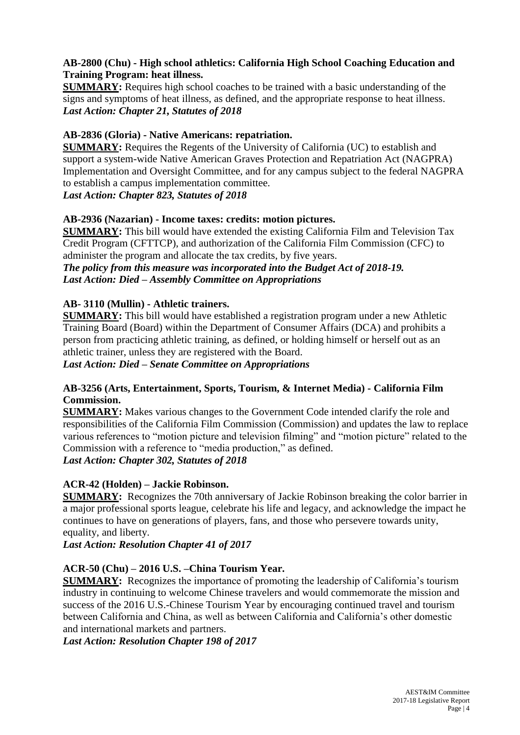# **AB-2800 (Chu) - High school athletics: California High School Coaching Education and Training Program: heat illness.**

**SUMMARY:** Requires high school coaches to be trained with a basic understanding of the signs and symptoms of heat illness, as defined, and the appropriate response to heat illness. *Last Action: Chapter 21, Statutes of 2018*

# **AB-2836 (Gloria) - Native Americans: repatriation.**

**SUMMARY:** Requires the Regents of the University of California (UC) to establish and support a system-wide Native American Graves Protection and Repatriation Act (NAGPRA) Implementation and Oversight Committee, and for any campus subject to the federal NAGPRA to establish a campus implementation committee.

# *Last Action: Chapter 823, Statutes of 2018*

#### **AB-2936 (Nazarian) - Income taxes: credits: motion pictures.**

**SUMMARY:** This bill would have extended the existing California Film and Television Tax Credit Program (CFTTCP), and authorization of the California Film Commission (CFC) to administer the program and allocate the tax credits, by five years.

*The policy from this measure was incorporated into the Budget Act of 2018-19. Last Action: Died – Assembly Committee on Appropriations*

# **AB- 3110 (Mullin) - Athletic trainers.**

**SUMMARY:** This bill would have established a registration program under a new Athletic Training Board (Board) within the Department of Consumer Affairs (DCA) and prohibits a person from practicing athletic training, as defined, or holding himself or herself out as an athletic trainer, unless they are registered with the Board.

*Last Action: Died – Senate Committee on Appropriations*

# **AB-3256 (Arts, Entertainment, Sports, Tourism, & Internet Media) - California Film Commission.**

**SUMMARY:** Makes various changes to the Government Code intended clarify the role and responsibilities of the California Film Commission (Commission) and updates the law to replace various references to "motion picture and television filming" and "motion picture" related to the Commission with a reference to "media production," as defined. *Last Action: Chapter 302, Statutes of 2018*

# **ACR-42 (Holden) – Jackie Robinson.**

**SUMMARY:** Recognizes the 70th anniversary of Jackie Robinson breaking the color barrier in a major professional sports league, celebrate his life and legacy, and acknowledge the impact he continues to have on generations of players, fans, and those who persevere towards unity, equality, and liberty.

*Last Action: Resolution Chapter 41 of 2017*

# **ACR-50 (Chu) – 2016 U.S. –China Tourism Year.**

**SUMMARY:** Recognizes the importance of promoting the leadership of California's tourism industry in continuing to welcome Chinese travelers and would commemorate the mission and success of the 2016 U.S.-Chinese Tourism Year by encouraging continued travel and tourism between California and China, as well as between California and California's other domestic and international markets and partners.

*Last Action: Resolution Chapter 198 of 2017*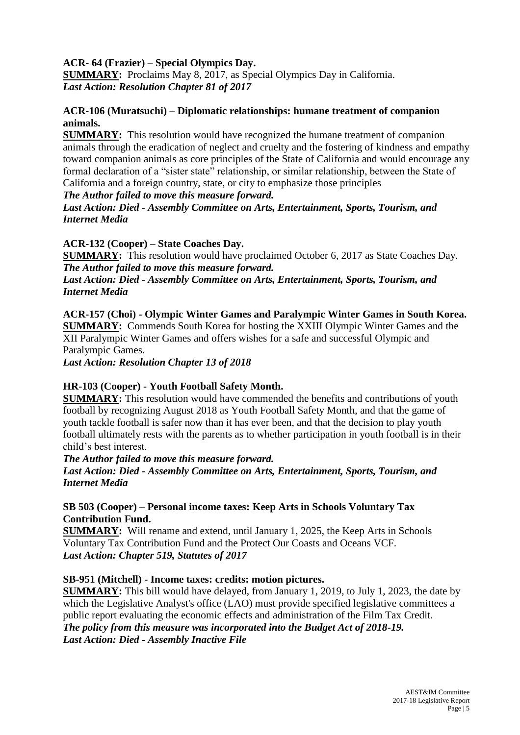# **ACR- 64 (Frazier) – Special Olympics Day.**

**SUMMARY:** Proclaims May 8, 2017, as Special Olympics Day in California. *Last Action: Resolution Chapter 81 of 2017*

## **ACR-106 (Muratsuchi) – Diplomatic relationships: humane treatment of companion animals.**

**SUMMARY:** This resolution would have recognized the humane treatment of companion animals through the eradication of neglect and cruelty and the fostering of kindness and empathy toward companion animals as core principles of the State of California and would encourage any formal declaration of a "sister state" relationship, or similar relationship, between the State of California and a foreign country, state, or city to emphasize those principles

#### *The Author failed to move this measure forward.*

#### *Last Action: Died - Assembly Committee on Arts, Entertainment, Sports, Tourism, and Internet Media*

# **ACR-132 (Cooper) – State Coaches Day.**

**SUMMARY:** This resolution would have proclaimed October 6, 2017 as State Coaches Day. *The Author failed to move this measure forward.*

*Last Action: Died - Assembly Committee on Arts, Entertainment, Sports, Tourism, and Internet Media*

**ACR-157 (Choi) - Olympic Winter Games and Paralympic Winter Games in South Korea. SUMMARY:** Commends South Korea for hosting the XXIII Olympic Winter Games and the XII Paralympic Winter Games and offers wishes for a safe and successful Olympic and Paralympic Games.

*Last Action: Resolution Chapter 13 of 2018*

# **HR-103 (Cooper) - Youth Football Safety Month.**

**SUMMARY:** This resolution would have commended the benefits and contributions of youth football by recognizing August 2018 as Youth Football Safety Month, and that the game of youth tackle football is safer now than it has ever been, and that the decision to play youth football ultimately rests with the parents as to whether participation in youth football is in their child's best interest.

# *The Author failed to move this measure forward. Last Action: Died - Assembly Committee on Arts, Entertainment, Sports, Tourism, and Internet Media*

# **SB 503 (Cooper) – Personal income taxes: Keep Arts in Schools Voluntary Tax Contribution Fund.**

**SUMMARY:** Will rename and extend, until January 1, 2025, the Keep Arts in Schools Voluntary Tax Contribution Fund and the Protect Our Coasts and Oceans VCF. *Last Action: Chapter 519, Statutes of 2017*

# **SB-951 (Mitchell) - Income taxes: credits: motion pictures.**

**SUMMARY:** This bill would have delayed, from January 1, 2019, to July 1, 2023, the date by which the Legislative Analyst's office (LAO) must provide specified legislative committees a public report evaluating the economic effects and administration of the Film Tax Credit. *The policy from this measure was incorporated into the Budget Act of 2018-19. Last Action: Died - Assembly Inactive File*